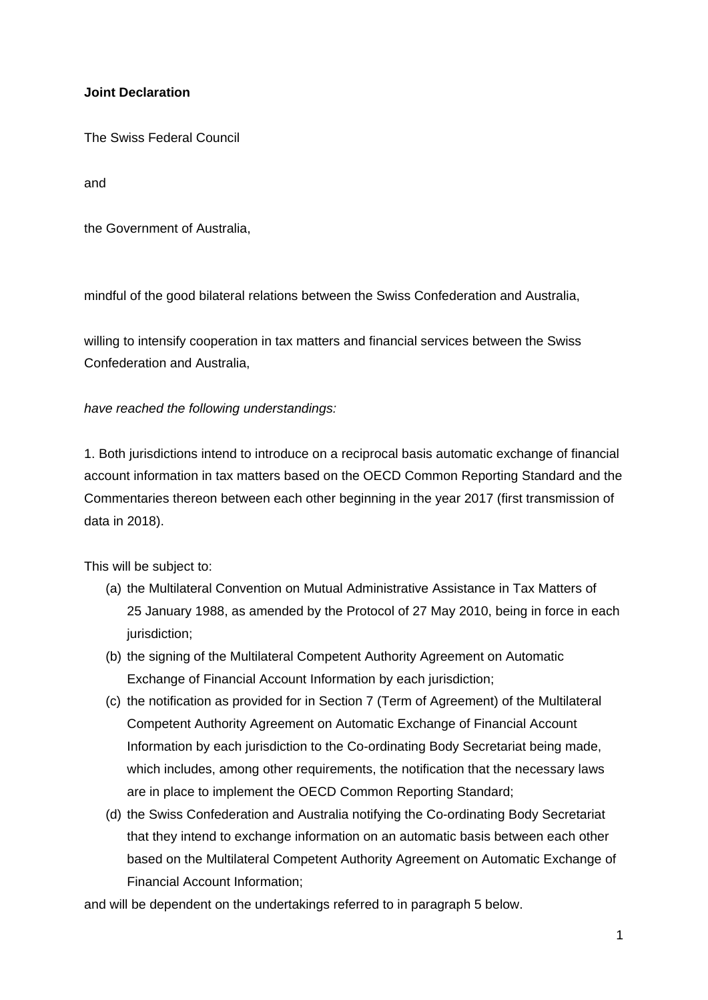## **Joint Declaration**

The Swiss Federal Council

and

the Government of Australia,

mindful of the good bilateral relations between the Swiss Confederation and Australia,

willing to intensify cooperation in tax matters and financial services between the Swiss Confederation and Australia,

## *have reached the following understandings:*

1. Both jurisdictions intend to introduce on a reciprocal basis automatic exchange of financial account information in tax matters based on the OECD Common Reporting Standard and the Commentaries thereon between each other beginning in the year 2017 (first transmission of data in 2018).

This will be subject to:

- (a) the Multilateral Convention on Mutual Administrative Assistance in Tax Matters of 25 January 1988, as amended by the Protocol of 27 May 2010, being in force in each jurisdiction;
- (b) the signing of the Multilateral Competent Authority Agreement on Automatic Exchange of Financial Account Information by each jurisdiction;
- (c) the notification as provided for in Section 7 (Term of Agreement) of the Multilateral Competent Authority Agreement on Automatic Exchange of Financial Account Information by each jurisdiction to the Co-ordinating Body Secretariat being made, which includes, among other requirements, the notification that the necessary laws are in place to implement the OECD Common Reporting Standard;
- (d) the Swiss Confederation and Australia notifying the Co-ordinating Body Secretariat that they intend to exchange information on an automatic basis between each other based on the Multilateral Competent Authority Agreement on Automatic Exchange of Financial Account Information;

and will be dependent on the undertakings referred to in paragraph 5 below.